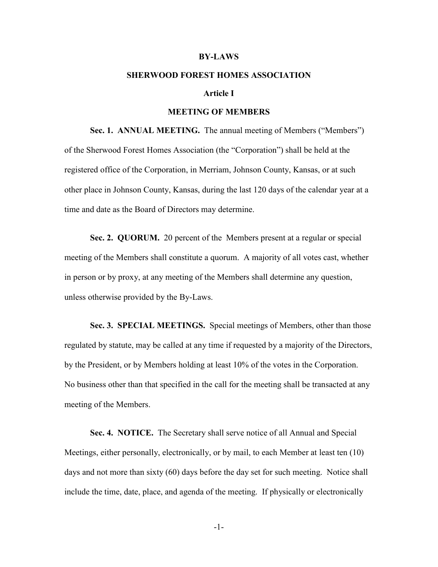#### **BY-LAWS**

# **SHERWOOD FOREST HOMES ASSOCIATION**

# **Article I**

## **MEETING OF MEMBERS**

**Sec. 1. ANNUAL MEETING.** The annual meeting of Members ("Members") of the Sherwood Forest Homes Association (the "Corporation") shall be held at the registered office of the Corporation, in Merriam, Johnson County, Kansas, or at such other place in Johnson County, Kansas, during the last 120 days of the calendar year at a time and date as the Board of Directors may determine.

**Sec. 2. QUORUM.** 20 percent of the Members present at a regular or special meeting of the Members shall constitute a quorum. A majority of all votes cast, whether in person or by proxy, at any meeting of the Members shall determine any question, unless otherwise provided by the By-Laws.

**Sec. 3. SPECIAL MEETINGS.** Special meetings of Members, other than those regulated by statute, may be called at any time if requested by a majority of the Directors, by the President, or by Members holding at least 10% of the votes in the Corporation. No business other than that specified in the call for the meeting shall be transacted at any meeting of the Members.

**Sec. 4. NOTICE.** The Secretary shall serve notice of all Annual and Special Meetings, either personally, electronically, or by mail, to each Member at least ten (10) days and not more than sixty (60) days before the day set for such meeting. Notice shall include the time, date, place, and agenda of the meeting. If physically or electronically

-1-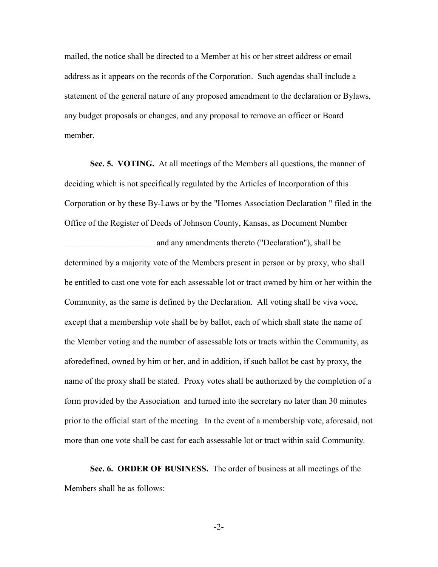mailed, the notice shall be directed to a Member at his or her street address or email address as it appears on the records of the Corporation. Such agendas shall include a statement of the general nature of any proposed amendment to the declaration or Bylaws, any budget proposals or changes, and any proposal to remove an officer or Board member.

**Sec. 5. VOTING.** At all meetings of the Members all questions, the manner of deciding which is not specifically regulated by the Articles of Incorporation of this Corporation or by these By-Laws or by the "Homes Association Declaration " filed in the Office of the Register of Deeds of Johnson County, Kansas, as Document Number

and any amendments thereto ("Declaration"), shall be determined by a majority vote of the Members present in person or by proxy, who shall be entitled to cast one vote for each assessable lot or tract owned by him or her within the Community, as the same is defined by the Declaration. All voting shall be viva voce, except that a membership vote shall be by ballot, each of which shall state the name of the Member voting and the number of assessable lots or tracts within the Community, as aforedefined, owned by him or her, and in addition, if such ballot be cast by proxy, the name of the proxy shall be stated. Proxy votes shall be authorized by the completion of a form provided by the Association and turned into the secretary no later than 30 minutes prior to the official start of the meeting. In the event of a membership vote, aforesaid, not more than one vote shall be cast for each assessable lot or tract within said Community.

**Sec. 6. ORDER OF BUSINESS.** The order of business at all meetings of the Members shall be as follows:

-2-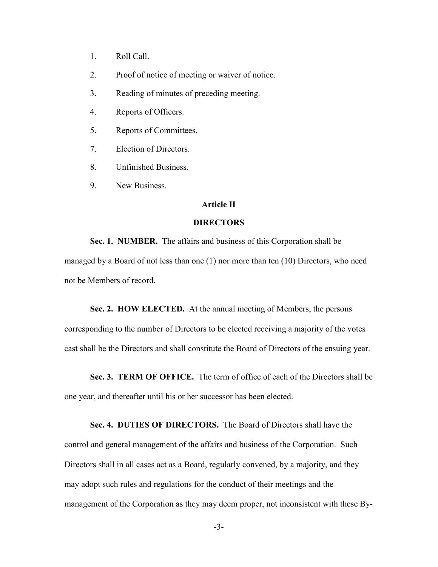- 1. Roll Call.
- 2. Proof of notice of meeting or waiver of notice.
- 3. Reading of minutes of preceding meeting.
- 4. Reports of Officers.
- 5. Reports of Committees.
- 7. Election of Directors.
- 8. Unfinished Business.
- 9. New Business.

# **Article II**

# **DIRECTORS**

**Sec. 1. NUMBER.** The affairs and business of this Corporation shall be managed by a Board of not less than one (1) nor more than ten (10) Directors, who need not be Members of record.

**Sec. 2. HOW ELECTED.** At the annual meeting of Members, the persons corresponding to the number of Directors to be elected receiving a majority of the votes cast shall be the Directors and shall constitute the Board of Directors of the ensuing year.

**Sec. 3. TERM OF OFFICE.** The term of office of each of the Directors shall be one year, and thereafter until his or her successor has been elected.

**Sec. 4. DUTIES OF DIRECTORS.** The Board of Directors shall have the control and general management of the affairs and business of the Corporation. Such Directors shall in all cases act as a Board, regularly convened, by a majority, and they may adopt such rules and regulations for the conduct of their meetings and the management of the Corporation as they may deem proper, not inconsistent with these By-

-3-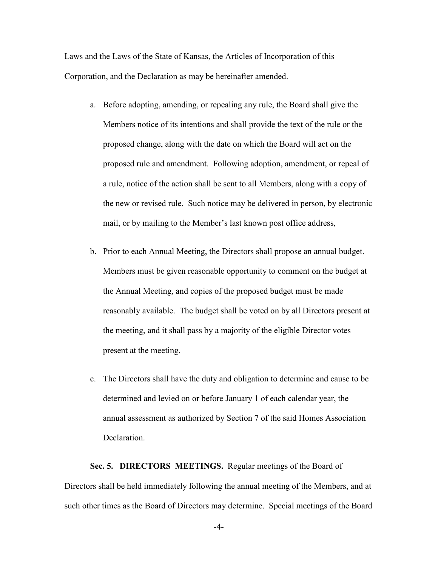Laws and the Laws of the State of Kansas, the Articles of Incorporation of this Corporation, and the Declaration as may be hereinafter amended.

- a. Before adopting, amending, or repealing any rule, the Board shall give the Members notice of its intentions and shall provide the text of the rule or the proposed change, along with the date on which the Board will act on the proposed rule and amendment. Following adoption, amendment, or repeal of a rule, notice of the action shall be sent to all Members, along with a copy of the new or revised rule. Such notice may be delivered in person, by electronic mail, or by mailing to the Member's last known post office address,
- b. Prior to each Annual Meeting, the Directors shall propose an annual budget. Members must be given reasonable opportunity to comment on the budget at the Annual Meeting, and copies of the proposed budget must be made reasonably available. The budget shall be voted on by all Directors present at the meeting, and it shall pass by a majority of the eligible Director votes present at the meeting.
- c. The Directors shall have the duty and obligation to determine and cause to be determined and levied on or before January 1 of each calendar year, the annual assessment as authorized by Section 7 of the said Homes Association Declaration.

**Sec. 5. DIRECTORS MEETINGS.** Regular meetings of the Board of Directors shall be held immediately following the annual meeting of the Members, and at such other times as the Board of Directors may determine. Special meetings of the Board

-4-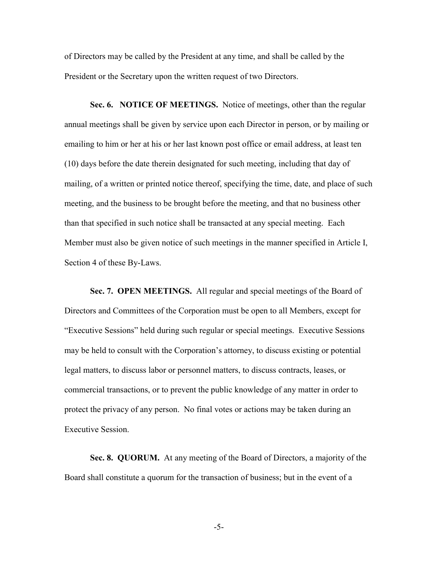of Directors may be called by the President at any time, and shall be called by the President or the Secretary upon the written request of two Directors.

**Sec. 6. NOTICE OF MEETINGS.** Notice of meetings, other than the regular annual meetings shall be given by service upon each Director in person, or by mailing or emailing to him or her at his or her last known post office or email address, at least ten (10) days before the date therein designated for such meeting, including that day of mailing, of a written or printed notice thereof, specifying the time, date, and place of such meeting, and the business to be brought before the meeting, and that no business other than that specified in such notice shall be transacted at any special meeting. Each Member must also be given notice of such meetings in the manner specified in Article I, Section 4 of these By-Laws.

**Sec. 7. OPEN MEETINGS.** All regular and special meetings of the Board of Directors and Committees of the Corporation must be open to all Members, except for "Executive Sessions" held during such regular or special meetings. Executive Sessions may be held to consult with the Corporation's attorney, to discuss existing or potential legal matters, to discuss labor or personnel matters, to discuss contracts, leases, or commercial transactions, or to prevent the public knowledge of any matter in order to protect the privacy of any person. No final votes or actions may be taken during an Executive Session.

**Sec. 8. QUORUM.** At any meeting of the Board of Directors, a majority of the Board shall constitute a quorum for the transaction of business; but in the event of a

-5-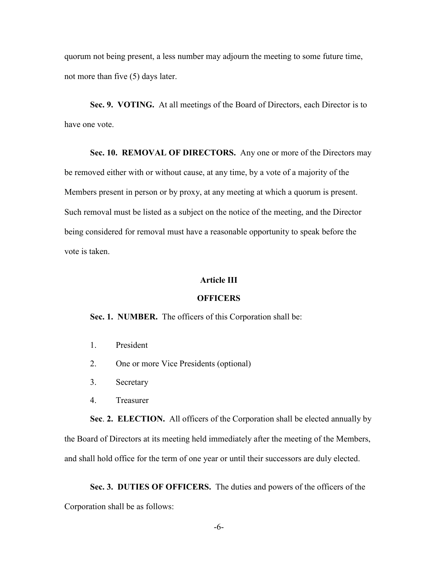quorum not being present, a less number may adjourn the meeting to some future time, not more than five (5) days later.

**Sec. 9. VOTING.** At all meetings of the Board of Directors, each Director is to have one vote.

**Sec. 10. REMOVAL OF DIRECTORS.** Any one or more of the Directors may be removed either with or without cause, at any time, by a vote of a majority of the Members present in person or by proxy, at any meeting at which a quorum is present. Such removal must be listed as a subject on the notice of the meeting, and the Director being considered for removal must have a reasonable opportunity to speak before the vote is taken.

# **Article III**

# **OFFICERS**

**Sec. 1. NUMBER.** The officers of this Corporation shall be:

- 1. President
- 2. One or more Vice Presidents (optional)
- 3. Secretary
- 4. Treasurer

**Sec**. **2. ELECTION.** All officers of the Corporation shall be elected annually by the Board of Directors at its meeting held immediately after the meeting of the Members, and shall hold office for the term of one year or until their successors are duly elected.

**Sec. 3. DUTIES OF OFFICERS.** The duties and powers of the officers of the Corporation shall be as follows: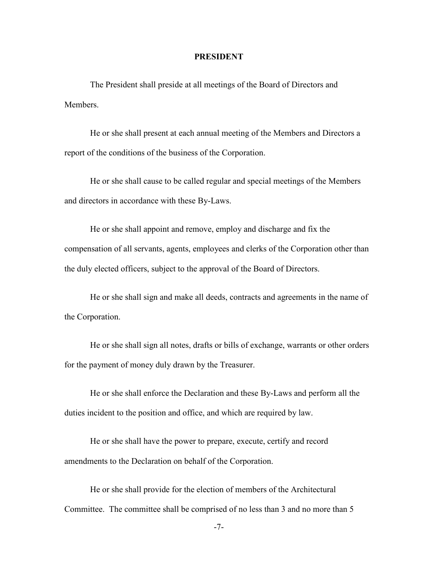## **PRESIDENT**

The President shall preside at all meetings of the Board of Directors and **Members** 

He or she shall present at each annual meeting of the Members and Directors a report of the conditions of the business of the Corporation.

He or she shall cause to be called regular and special meetings of the Members and directors in accordance with these By-Laws.

He or she shall appoint and remove, employ and discharge and fix the compensation of all servants, agents, employees and clerks of the Corporation other than the duly elected officers, subject to the approval of the Board of Directors.

He or she shall sign and make all deeds, contracts and agreements in the name of the Corporation.

He or she shall sign all notes, drafts or bills of exchange, warrants or other orders for the payment of money duly drawn by the Treasurer.

He or she shall enforce the Declaration and these By-Laws and perform all the duties incident to the position and office, and which are required by law.

He or she shall have the power to prepare, execute, certify and record amendments to the Declaration on behalf of the Corporation.

He or she shall provide for the election of members of the Architectural Committee. The committee shall be comprised of no less than 3 and no more than 5

-7-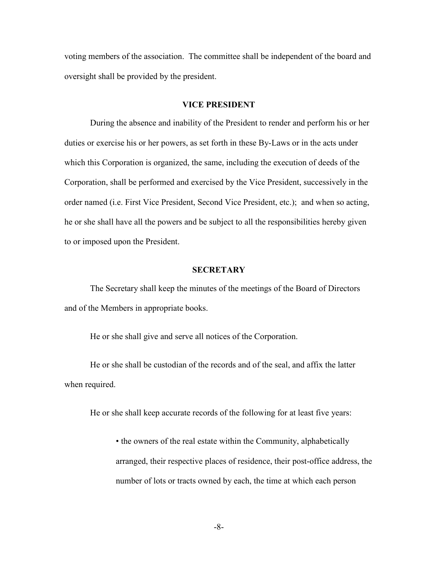voting members of the association. The committee shall be independent of the board and oversight shall be provided by the president.

## **VICE PRESIDENT**

During the absence and inability of the President to render and perform his or her duties or exercise his or her powers, as set forth in these By-Laws or in the acts under which this Corporation is organized, the same, including the execution of deeds of the Corporation, shall be performed and exercised by the Vice President, successively in the order named (i.e. First Vice President, Second Vice President, etc.); and when so acting, he or she shall have all the powers and be subject to all the responsibilities hereby given to or imposed upon the President.

# **SECRETARY**

The Secretary shall keep the minutes of the meetings of the Board of Directors and of the Members in appropriate books.

He or she shall give and serve all notices of the Corporation.

He or she shall be custodian of the records and of the seal, and affix the latter when required.

He or she shall keep accurate records of the following for at least five years:

• the owners of the real estate within the Community, alphabetically arranged, their respective places of residence, their post-office address, the number of lots or tracts owned by each, the time at which each person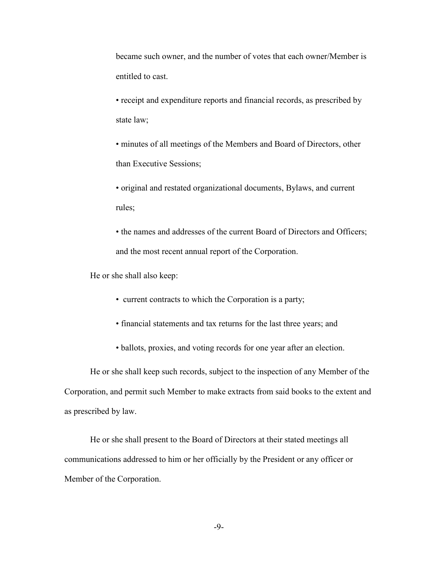became such owner, and the number of votes that each owner/Member is entitled to cast.

• receipt and expenditure reports and financial records, as prescribed by state law;

• minutes of all meetings of the Members and Board of Directors, other than Executive Sessions;

• original and restated organizational documents, Bylaws, and current rules;

• the names and addresses of the current Board of Directors and Officers; and the most recent annual report of the Corporation.

He or she shall also keep:

- current contracts to which the Corporation is a party;
- financial statements and tax returns for the last three years; and
- ballots, proxies, and voting records for one year after an election.

He or she shall keep such records, subject to the inspection of any Member of the Corporation, and permit such Member to make extracts from said books to the extent and as prescribed by law.

He or she shall present to the Board of Directors at their stated meetings all communications addressed to him or her officially by the President or any officer or Member of the Corporation.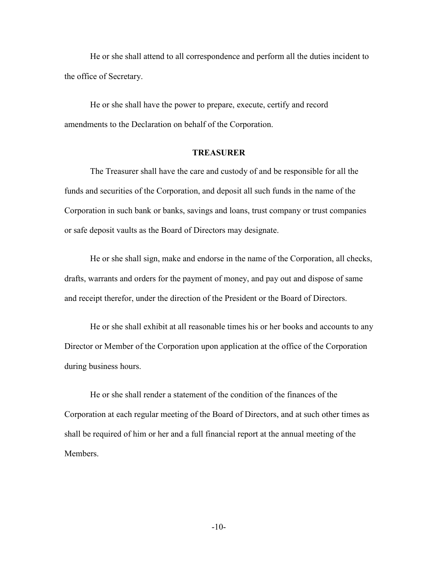He or she shall attend to all correspondence and perform all the duties incident to the office of Secretary.

He or she shall have the power to prepare, execute, certify and record amendments to the Declaration on behalf of the Corporation.

## **TREASURER**

The Treasurer shall have the care and custody of and be responsible for all the funds and securities of the Corporation, and deposit all such funds in the name of the Corporation in such bank or banks, savings and loans, trust company or trust companies or safe deposit vaults as the Board of Directors may designate.

He or she shall sign, make and endorse in the name of the Corporation, all checks, drafts, warrants and orders for the payment of money, and pay out and dispose of same and receipt therefor, under the direction of the President or the Board of Directors.

He or she shall exhibit at all reasonable times his or her books and accounts to any Director or Member of the Corporation upon application at the office of the Corporation during business hours.

He or she shall render a statement of the condition of the finances of the Corporation at each regular meeting of the Board of Directors, and at such other times as shall be required of him or her and a full financial report at the annual meeting of the Members.

-10-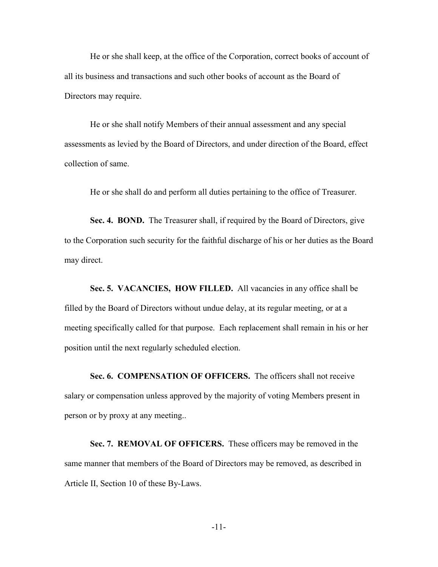He or she shall keep, at the office of the Corporation, correct books of account of all its business and transactions and such other books of account as the Board of Directors may require.

He or she shall notify Members of their annual assessment and any special assessments as levied by the Board of Directors, and under direction of the Board, effect collection of same.

He or she shall do and perform all duties pertaining to the office of Treasurer.

**Sec. 4. BOND.** The Treasurer shall, if required by the Board of Directors, give to the Corporation such security for the faithful discharge of his or her duties as the Board may direct.

Sec. 5. VACANCIES, HOW FILLED. All vacancies in any office shall be filled by the Board of Directors without undue delay, at its regular meeting, or at a meeting specifically called for that purpose. Each replacement shall remain in his or her position until the next regularly scheduled election.

**Sec. 6. COMPENSATION OF OFFICERS.** The officers shall not receive salary or compensation unless approved by the majority of voting Members present in person or by proxy at any meeting..

**Sec. 7. REMOVAL OF OFFICERS.** These officers may be removed in the same manner that members of the Board of Directors may be removed, as described in Article II, Section 10 of these By-Laws.

-11-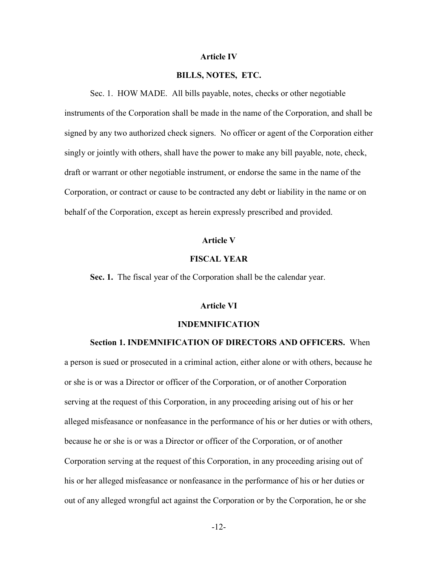#### **Article IV**

## **BILLS, NOTES, ETC.**

Sec. 1. HOW MADE. All bills payable, notes, checks or other negotiable instruments of the Corporation shall be made in the name of the Corporation, and shall be signed by any two authorized check signers. No officer or agent of the Corporation either singly or jointly with others, shall have the power to make any bill payable, note, check, draft or warrant or other negotiable instrument, or endorse the same in the name of the Corporation, or contract or cause to be contracted any debt or liability in the name or on behalf of the Corporation, except as herein expressly prescribed and provided.

## **Article V**

# **FISCAL YEAR**

**Sec. 1.** The fiscal year of the Corporation shall be the calendar year.

## **Article VI**

#### **INDEMNIFICATION**

## **Section 1. INDEMNIFICATION OF DIRECTORS AND OFFICERS.** When

a person is sued or prosecuted in a criminal action, either alone or with others, because he or she is or was a Director or officer of the Corporation, or of another Corporation serving at the request of this Corporation, in any proceeding arising out of his or her alleged misfeasance or nonfeasance in the performance of his or her duties or with others, because he or she is or was a Director or officer of the Corporation, or of another Corporation serving at the request of this Corporation, in any proceeding arising out of his or her alleged misfeasance or nonfeasance in the performance of his or her duties or out of any alleged wrongful act against the Corporation or by the Corporation, he or she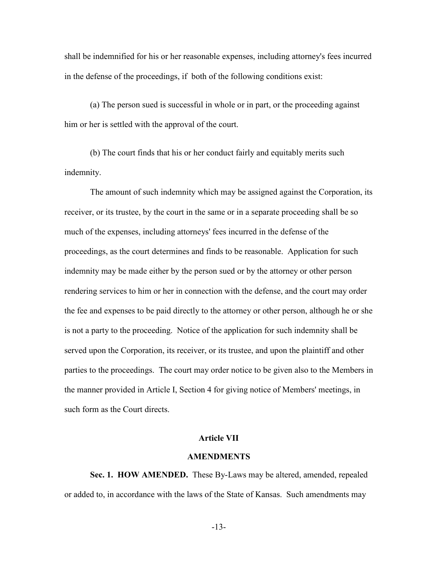shall be indemnified for his or her reasonable expenses, including attorney's fees incurred in the defense of the proceedings, if both of the following conditions exist:

(a) The person sued is successful in whole or in part, or the proceeding against him or her is settled with the approval of the court.

(b) The court finds that his or her conduct fairly and equitably merits such indemnity.

 The amount of such indemnity which may be assigned against the Corporation, its receiver, or its trustee, by the court in the same or in a separate proceeding shall be so much of the expenses, including attorneys' fees incurred in the defense of the proceedings, as the court determines and finds to be reasonable. Application for such indemnity may be made either by the person sued or by the attorney or other person rendering services to him or her in connection with the defense, and the court may order the fee and expenses to be paid directly to the attorney or other person, although he or she is not a party to the proceeding. Notice of the application for such indemnity shall be served upon the Corporation, its receiver, or its trustee, and upon the plaintiff and other parties to the proceedings. The court may order notice to be given also to the Members in the manner provided in Article I, Section 4 for giving notice of Members' meetings, in such form as the Court directs.

# **Article VII**

# **AMENDMENTS**

**Sec. 1. HOW AMENDED.** These By-Laws may be altered, amended, repealed or added to, in accordance with the laws of the State of Kansas. Such amendments may

-13-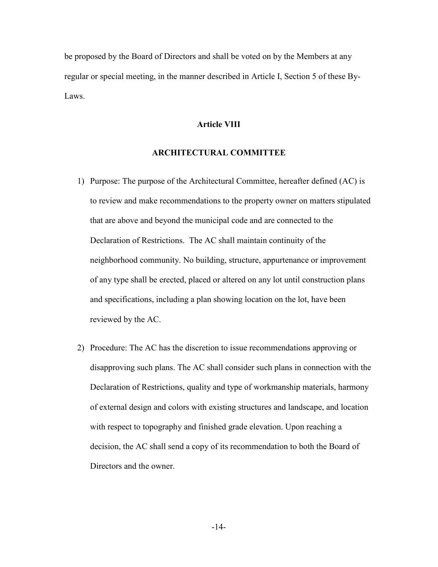be proposed by the Board of Directors and shall be voted on by the Members at any regular or special meeting, in the manner described in Article I, Section 5 of these By-Laws.

# **Article VIII**

## **ARCHITECTURAL COMMITTEE**

- 1) Purpose: The purpose of the Architectural Committee, hereafter defined (AC) is to review and make recommendations to the property owner on matters stipulated that are above and beyond the municipal code and are connected to the Declaration of Restrictions. The AC shall maintain continuity of the neighborhood community. No building, structure, appurtenance or improvement of any type shall be erected, placed or altered on any lot until construction plans and specifications, including a plan showing location on the lot, have been reviewed by the AC.
- 2) Procedure: The AC has the discretion to issue recommendations approving or disapproving such plans. The AC shall consider such plans in connection with the Declaration of Restrictions, quality and type of workmanship materials, harmony of external design and colors with existing structures and landscape, and location with respect to topography and finished grade elevation. Upon reaching a decision, the AC shall send a copy of its recommendation to both the Board of Directors and the owner.